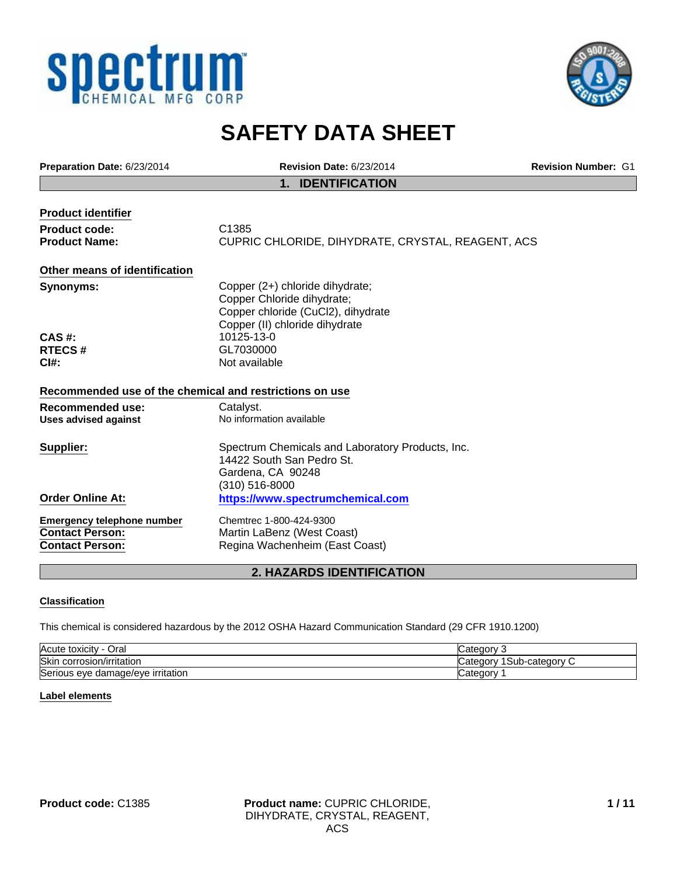



# **SAFETY DATA SHEET**

| Preparation Date: 6/23/2014                                                           | <b>Revision Date: 6/23/2014</b>                                                                                                       | <b>Revision Number: G1</b> |
|---------------------------------------------------------------------------------------|---------------------------------------------------------------------------------------------------------------------------------------|----------------------------|
|                                                                                       | <b>IDENTIFICATION</b><br>$\mathbf 1$ .                                                                                                |                            |
| <b>Product identifier</b>                                                             |                                                                                                                                       |                            |
| Product code:                                                                         | C1385                                                                                                                                 |                            |
| <b>Product Name:</b>                                                                  | CUPRIC CHLORIDE, DIHYDRATE, CRYSTAL, REAGENT, ACS                                                                                     |                            |
| Other means of identification                                                         |                                                                                                                                       |                            |
| <b>Synonyms:</b>                                                                      | Copper (2+) chloride dihydrate;<br>Copper Chloride dihydrate;<br>Copper chloride (CuCl2), dihydrate<br>Copper (II) chloride dihydrate |                            |
| $CAS$ #:                                                                              | 10125-13-0                                                                                                                            |                            |
| <b>RTECS#</b>                                                                         | GL7030000                                                                                                                             |                            |
| $C1#$ :                                                                               | Not available                                                                                                                         |                            |
| Recommended use of the chemical and restrictions on use                               |                                                                                                                                       |                            |
| <b>Recommended use:</b>                                                               | Catalyst.                                                                                                                             |                            |
| <b>Uses advised against</b>                                                           | No information available                                                                                                              |                            |
| Supplier:                                                                             | Spectrum Chemicals and Laboratory Products, Inc.<br>14422 South San Pedro St.<br>Gardena, CA 90248<br>(310) 516-8000                  |                            |
| <b>Order Online At:</b>                                                               | https://www.spectrumchemical.com                                                                                                      |                            |
| <b>Emergency telephone number</b><br><b>Contact Person:</b><br><b>Contact Person:</b> | Chemtrec 1-800-424-9300<br>Martin LaBenz (West Coast)<br>Regina Wachenheim (East Coast)                                               |                            |
| <b>2. HAZARDS IDENTIFICATION</b>                                                      |                                                                                                                                       |                            |

# **Classification**

This chemical is considered hazardous by the 2012 OSHA Hazard Communication Standard (29 CFR 1910.1200)

| Acute<br>Oral<br>toxicity         | ategor.                           |
|-----------------------------------|-----------------------------------|
| Skin corrosion/irritation         | Sub-category (<br>…∿atenr<br>uorv |
| Serious eye damage/eye irritation | ∟ateɑorv                          |

# **Label elements**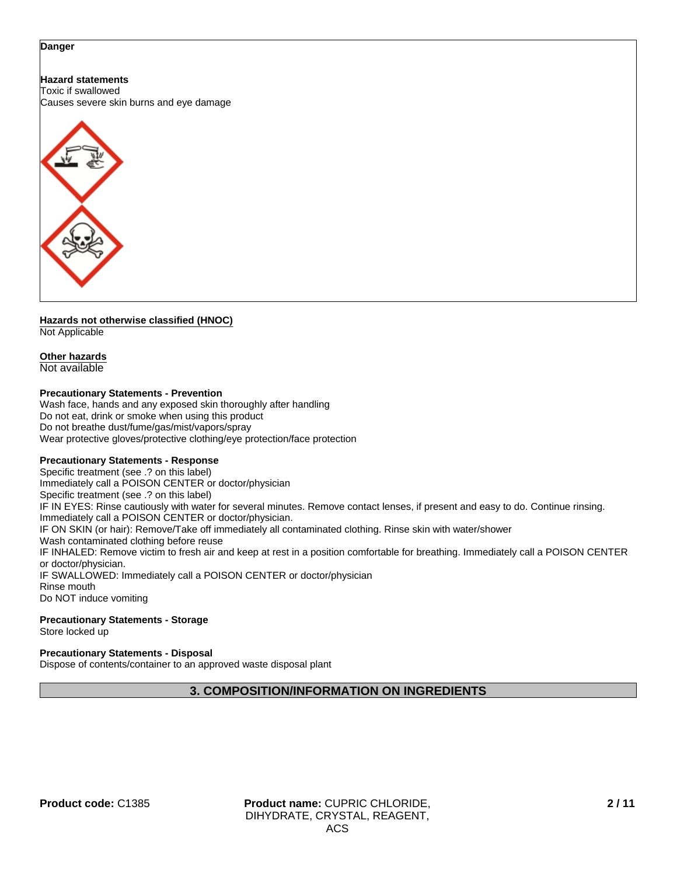#### **Danger**

# **Hazard statements**

Toxic if swallowed Causes severe skin burns and eye damage



### **Hazards not otherwise classified (HNOC)** Not Applicable

# **Other hazards**

Not available

# **Precautionary Statements - Prevention**

Wash face, hands and any exposed skin thoroughly after handling Do not eat, drink or smoke when using this product Do not breathe dust/fume/gas/mist/vapors/spray Wear protective gloves/protective clothing/eye protection/face protection

# **Precautionary Statements - Response**

Specific treatment (see .? on this label) Immediately call a POISON CENTER or doctor/physician Specific treatment (see .? on this label) IF IN EYES: Rinse cautiously with water for several minutes. Remove contact lenses, if present and easy to do. Continue rinsing. Immediately call a POISON CENTER or doctor/physician. IF ON SKIN (or hair): Remove/Take off immediately all contaminated clothing. Rinse skin with water/shower Wash contaminated clothing before reuse IF INHALED: Remove victim to fresh air and keep at rest in a position comfortable for breathing. Immediately call a POISON CENTER or doctor/physician. IF SWALLOWED: Immediately call a POISON CENTER or doctor/physician Rinse mouth Do NOT induce vomiting

#### **Precautionary Statements - Storage** Store locked up

**Precautionary Statements - Disposal**

Dispose of contents/container to an approved waste disposal plant

# **3. COMPOSITION/INFORMATION ON INGREDIENTS**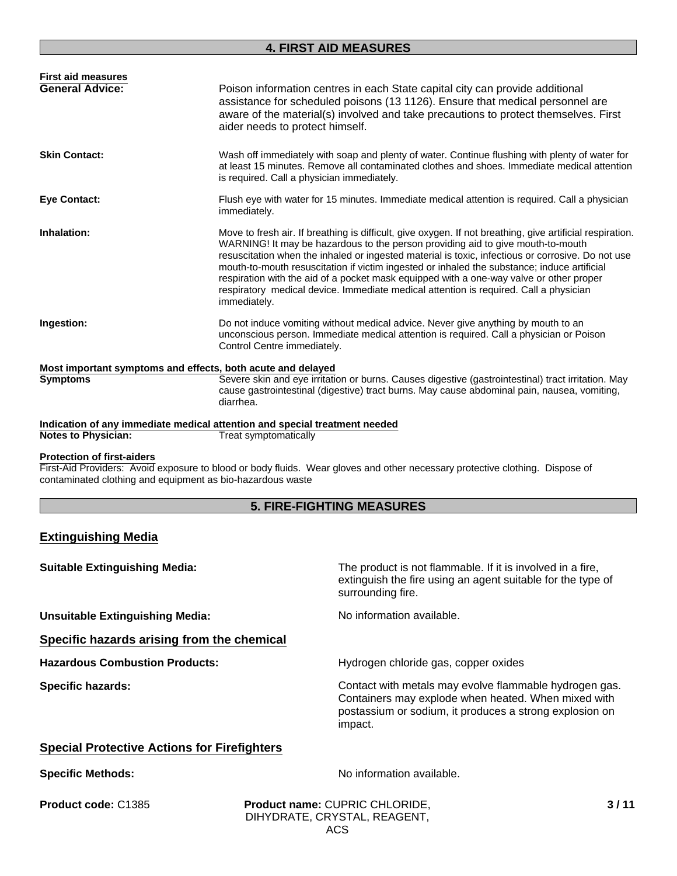| <b>First aid measures</b><br><b>General Advice:</b>                                                                                                                                                                             | Poison information centres in each State capital city can provide additional<br>assistance for scheduled poisons (13 1126). Ensure that medical personnel are<br>aware of the material(s) involved and take precautions to protect themselves. First<br>aider needs to protect himself.                                                                                                                                                                                                                                                                                                              |  |
|---------------------------------------------------------------------------------------------------------------------------------------------------------------------------------------------------------------------------------|------------------------------------------------------------------------------------------------------------------------------------------------------------------------------------------------------------------------------------------------------------------------------------------------------------------------------------------------------------------------------------------------------------------------------------------------------------------------------------------------------------------------------------------------------------------------------------------------------|--|
| <b>Skin Contact:</b>                                                                                                                                                                                                            | Wash off immediately with soap and plenty of water. Continue flushing with plenty of water for<br>at least 15 minutes. Remove all contaminated clothes and shoes. Immediate medical attention<br>is required. Call a physician immediately.                                                                                                                                                                                                                                                                                                                                                          |  |
| <b>Eye Contact:</b>                                                                                                                                                                                                             | Flush eye with water for 15 minutes. Immediate medical attention is required. Call a physician<br>immediately.                                                                                                                                                                                                                                                                                                                                                                                                                                                                                       |  |
| Inhalation:                                                                                                                                                                                                                     | Move to fresh air. If breathing is difficult, give oxygen. If not breathing, give artificial respiration.<br>WARNING! It may be hazardous to the person providing aid to give mouth-to-mouth<br>resuscitation when the inhaled or ingested material is toxic, infectious or corrosive. Do not use<br>mouth-to-mouth resuscitation if victim ingested or inhaled the substance; induce artificial<br>respiration with the aid of a pocket mask equipped with a one-way valve or other proper<br>respiratory medical device. Immediate medical attention is required. Call a physician<br>immediately. |  |
| Ingestion:                                                                                                                                                                                                                      | Do not induce vomiting without medical advice. Never give anything by mouth to an<br>unconscious person. Immediate medical attention is required. Call a physician or Poison<br>Control Centre immediately.                                                                                                                                                                                                                                                                                                                                                                                          |  |
| Most important symptoms and effects, both acute and delayed                                                                                                                                                                     |                                                                                                                                                                                                                                                                                                                                                                                                                                                                                                                                                                                                      |  |
| <b>Symptoms</b>                                                                                                                                                                                                                 | Severe skin and eye irritation or burns. Causes digestive (gastrointestinal) tract irritation. May<br>cause gastrointestinal (digestive) tract burns. May cause abdominal pain, nausea, vomiting,<br>diarrhea.                                                                                                                                                                                                                                                                                                                                                                                       |  |
| Indication of any immediate medical attention and special treatment needed                                                                                                                                                      |                                                                                                                                                                                                                                                                                                                                                                                                                                                                                                                                                                                                      |  |
| <b>Notes to Physician:</b>                                                                                                                                                                                                      | <b>Treat symptomatically</b>                                                                                                                                                                                                                                                                                                                                                                                                                                                                                                                                                                         |  |
| <b>Protection of first-aiders</b><br>First-Aid Providers: Avoid exposure to blood or body fluids. Wear gloves and other necessary protective clothing. Dispose of<br>contaminated clothing and equipment as bio-hazardous waste |                                                                                                                                                                                                                                                                                                                                                                                                                                                                                                                                                                                                      |  |

# **5. FIRE-FIGHTING MEASURES**

# **Extinguishing Media**

| <b>Suitable Extinguishing Media:</b>                                                                                                                                                                            | The product is not flammable. If it is involved in a fire,<br>extinguish the fire using an agent suitable for the type of<br>surrounding fire. |
|-----------------------------------------------------------------------------------------------------------------------------------------------------------------------------------------------------------------|------------------------------------------------------------------------------------------------------------------------------------------------|
| <b>Unsuitable Extinguishing Media:</b>                                                                                                                                                                          | No information available.                                                                                                                      |
| Specific hazards arising from the chemical                                                                                                                                                                      |                                                                                                                                                |
| <b>Hazardous Combustion Products:</b>                                                                                                                                                                           | Hydrogen chloride gas, copper oxides                                                                                                           |
| Contact with metals may evolve flammable hydrogen gas.<br><b>Specific hazards:</b><br>Containers may explode when heated. When mixed with<br>postassium or sodium, it produces a strong explosion on<br>impact. |                                                                                                                                                |
| <b>Special Protective Actions for Firefighters</b>                                                                                                                                                              |                                                                                                                                                |
| <b>Specific Methods:</b>                                                                                                                                                                                        | No information available.                                                                                                                      |
| Product code: C1385                                                                                                                                                                                             | 3/11<br>Product name: CUPRIC CHLORIDE,                                                                                                         |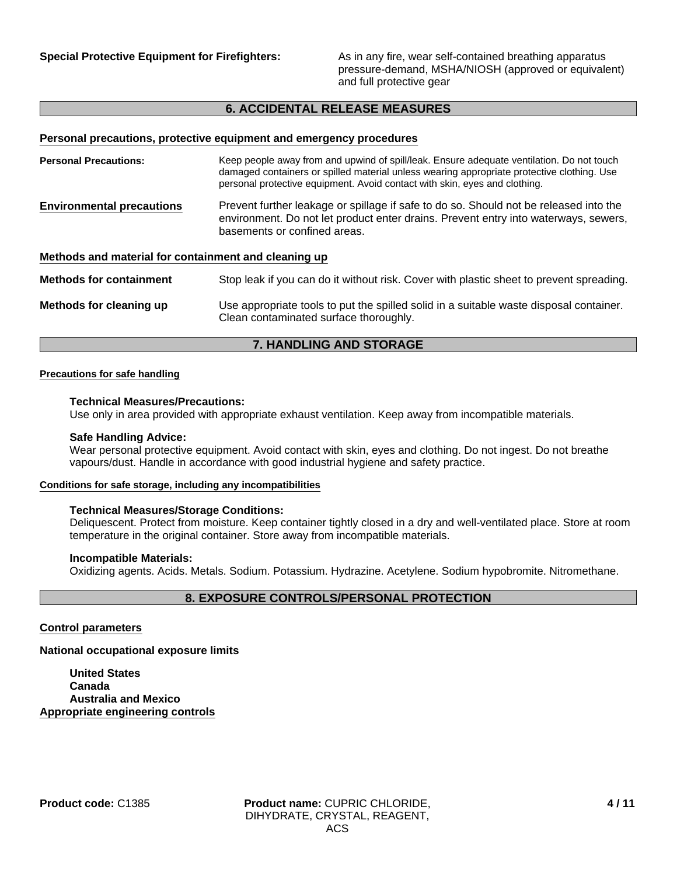**Special Protective Equipment for Firefighters:** As in any fire, wear self-contained breathing apparatus pressure-demand, MSHA/NIOSH (approved or equivalent) and full protective gear

# **6. ACCIDENTAL RELEASE MEASURES**

# **Personal precautions, protective equipment and emergency procedures**

| <b>Personal Precautions:</b>                         | Keep people away from and upwind of spill/leak. Ensure adequate ventilation. Do not touch<br>damaged containers or spilled material unless wearing appropriate protective clothing. Use<br>personal protective equipment. Avoid contact with skin, eyes and clothing. |
|------------------------------------------------------|-----------------------------------------------------------------------------------------------------------------------------------------------------------------------------------------------------------------------------------------------------------------------|
| <b>Environmental precautions</b>                     | Prevent further leakage or spillage if safe to do so. Should not be released into the<br>environment. Do not let product enter drains. Prevent entry into waterways, sewers,<br>basements or confined areas.                                                          |
| Methods and material for containment and cleaning up |                                                                                                                                                                                                                                                                       |
| <b>Methods for containment</b>                       | Stop leak if you can do it without risk. Cover with plastic sheet to prevent spreading.                                                                                                                                                                               |
| Methods for cleaning up                              | Use appropriate tools to put the spilled solid in a suitable waste disposal container.<br>Clean contaminated surface thoroughly.                                                                                                                                      |

# **7. HANDLING AND STORAGE**

#### **Precautions for safe handling**

#### **Technical Measures/Precautions:**

Use only in area provided with appropriate exhaust ventilation. Keep away from incompatible materials.

#### **Safe Handling Advice:**

Wear personal protective equipment. Avoid contact with skin, eyes and clothing. Do not ingest. Do not breathe vapours/dust. Handle in accordance with good industrial hygiene and safety practice.

#### **Conditions for safe storage, including any incompatibilities**

#### **Technical Measures/Storage Conditions:**

Deliquescent. Protect from moisture. Keep container tightly closed in a dry and well-ventilated place. Store at room temperature in the original container. Store away from incompatible materials.

#### **Incompatible Materials:**

Oxidizing agents. Acids. Metals. Sodium. Potassium. Hydrazine. Acetylene. Sodium hypobromite. Nitromethane.

# **8. EXPOSURE CONTROLS/PERSONAL PROTECTION**

#### **Control parameters**

**National occupational exposure limits**

**United States Canada Australia and Mexico Appropriate engineering controls**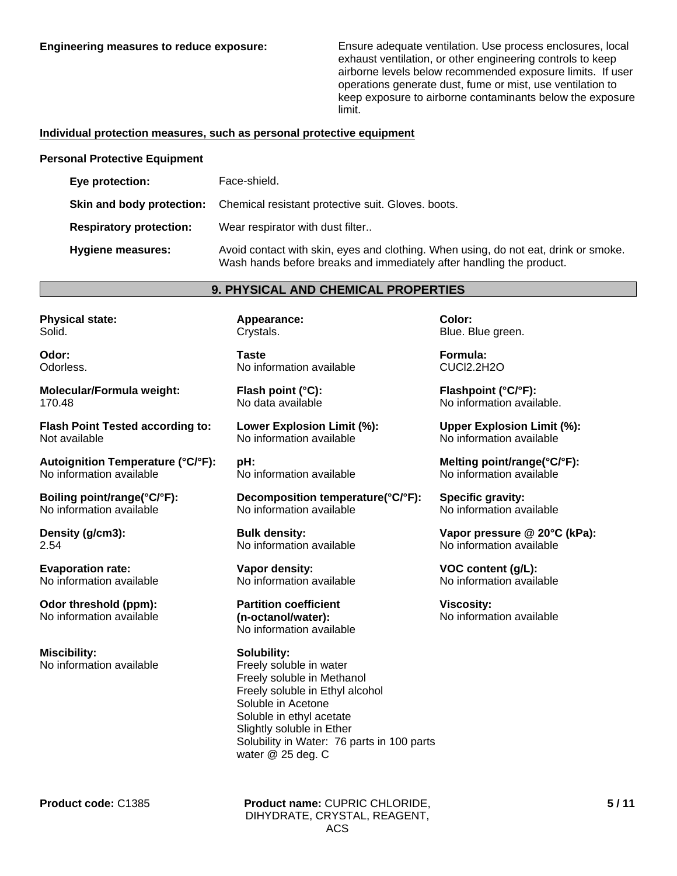**Engineering measures to reduce exposure:** Ensure adequate ventilation. Use process enclosures, local exhaust ventilation, or other engineering controls to keep airborne levels below recommended exposure limits. If user operations generate dust, fume or mist, use ventilation to keep exposure to airborne contaminants below the exposure limit.

### **Individual protection measures, such as personal protective equipment**

#### **Personal Protective Equipment**

| Eye protection:                | Face-shield.                                                                                                                                                |
|--------------------------------|-------------------------------------------------------------------------------------------------------------------------------------------------------------|
|                                | Skin and body protection: Chemical resistant protective suit. Gloves. boots.                                                                                |
| <b>Respiratory protection:</b> | Wear respirator with dust filter                                                                                                                            |
| Hygiene measures:              | Avoid contact with skin, eyes and clothing. When using, do not eat, drink or smoke.<br>Wash hands before breaks and immediately after handling the product. |

#### **9. PHYSICAL AND CHEMICAL PROPERTIES**

**Physical state:** Solid.

**Odor:** Odorless.

**Molecular/Formula weight:** 170.48

**Flash Point Tested according to:** Not available

**Autoignition Temperature (°C/°F):** No information available

**Boiling point/range(°C/°F):** No information available

**Density (g/cm3):** 2.54

**Evaporation rate:** No information available

**Odor threshold (ppm):** No information available

**Miscibility:** No information available **Appearance:** Crystals.

**Taste** No information available

**Flash point (°C):** No data available

**Lower Explosion Limit (%):** No information available

**pH:** No information available

**Decomposition temperature(°C/°F):** No information available

**Bulk density:** No information available

**Vapor density:** No information available

**Partition coefficient (n-octanol/water):** No information available

**Solubility:** Freely soluble in water Freely soluble in Methanol Freely soluble in Ethyl alcohol Soluble in Acetone Soluble in ethyl acetate Slightly soluble in Ether Solubility in Water: 76 parts in 100 parts water @ 25 deg. C

**Color:** Blue. Blue green.

**Formula:** CUCl2.2H2O

**Flashpoint (°C/°F):** No information available.

**Upper Explosion Limit (%):** No information available

**Melting point/range(°C/°F):** No information available

**Specific gravity:** No information available

**Vapor pressure @ 20°C (kPa):** No information available

**VOC content (g/L):** No information available

**Viscosity:** No information available

**Product code:** C1385

**Product name:** CUPRIC CHLORIDE, DIHYDRATE, CRYSTAL, REAGENT, ACS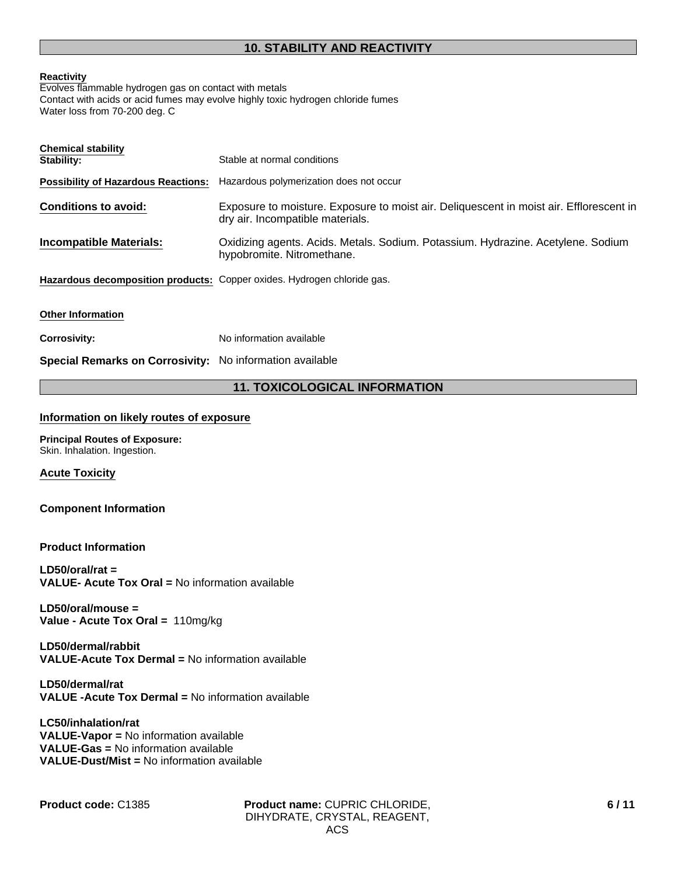# **Reactivity**

Evolves flammable hydrogen gas on contact with metals Contact with acids or acid fumes may evolve highly toxic hydrogen chloride fumes Water loss from 70-200 deg. C

| <b>Chemical stability</b><br>Stability:                                 | Stable at normal conditions                                                                                                 |
|-------------------------------------------------------------------------|-----------------------------------------------------------------------------------------------------------------------------|
| <b>Possibility of Hazardous Reactions:</b>                              | Hazardous polymerization does not occur                                                                                     |
| <b>Conditions to avoid:</b>                                             | Exposure to moisture. Exposure to moist air. Deliquescent in moist air. Efflorescent in<br>dry air. Incompatible materials. |
| <b>Incompatible Materials:</b>                                          | Oxidizing agents. Acids. Metals. Sodium. Potassium. Hydrazine. Acetylene. Sodium<br>hypobromite. Nitromethane.              |
| Hazardous decomposition products: Copper oxides. Hydrogen chloride gas. |                                                                                                                             |
| <b>Other Information</b>                                                |                                                                                                                             |
| <b>Corrosivity:</b>                                                     | No information available                                                                                                    |
| Special Remarks on Corrosivity: No information available                |                                                                                                                             |

# **11. TOXICOLOGICAL INFORMATION**

# **Information on likely routes of exposure**

**Principal Routes of Exposure:** Skin. Inhalation. Ingestion.

**Acute Toxicity**

# **Component Information**

# **Product Information**

**LD50/oral/rat = VALUE- Acute Tox Oral =** No information available

**LD50/oral/mouse = Value - Acute Tox Oral =** 110mg/kg

**LD50/dermal/rabbit VALUE-Acute Tox Dermal =** No information available

**LD50/dermal/rat VALUE -Acute Tox Dermal =** No information available

**LC50/inhalation/rat VALUE-Vapor =** No information available **VALUE-Gas =** No information available **VALUE-Dust/Mist =** No information available

**Product name:** CUPRIC CHLORIDE, **Product code:** C1385 **6 / 11**DIHYDRATE, CRYSTAL, REAGENT, ACS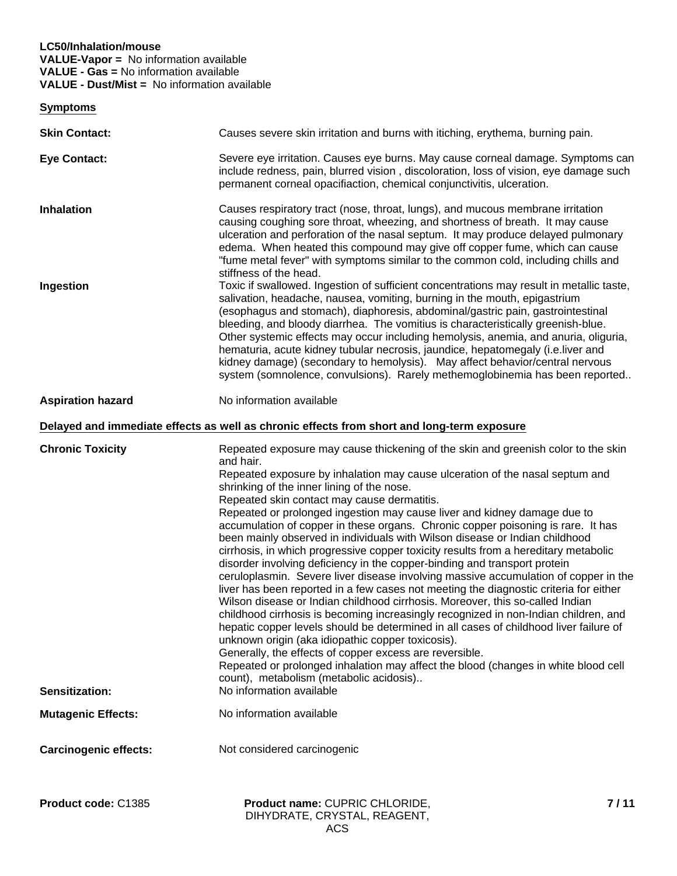# **LC50/Inhalation/mouse VALUE-Vapor =** No information available **VALUE - Gas =** No information available **VALUE - Dust/Mist =** No information available

**Symptoms**

| Product code: C1385            | Product name: CUPRIC CHLORIDE,                                                                                                                                                                                                                                                                                                                                                                                                                                                                                                                                                                                                                                                                                                                                                                                                                                                                                                                                                                                                                                                                                                                                                                                                                                                                                                          | 7/11 |
|--------------------------------|-----------------------------------------------------------------------------------------------------------------------------------------------------------------------------------------------------------------------------------------------------------------------------------------------------------------------------------------------------------------------------------------------------------------------------------------------------------------------------------------------------------------------------------------------------------------------------------------------------------------------------------------------------------------------------------------------------------------------------------------------------------------------------------------------------------------------------------------------------------------------------------------------------------------------------------------------------------------------------------------------------------------------------------------------------------------------------------------------------------------------------------------------------------------------------------------------------------------------------------------------------------------------------------------------------------------------------------------|------|
| <b>Carcinogenic effects:</b>   | Not considered carcinogenic                                                                                                                                                                                                                                                                                                                                                                                                                                                                                                                                                                                                                                                                                                                                                                                                                                                                                                                                                                                                                                                                                                                                                                                                                                                                                                             |      |
| <b>Mutagenic Effects:</b>      | No information available                                                                                                                                                                                                                                                                                                                                                                                                                                                                                                                                                                                                                                                                                                                                                                                                                                                                                                                                                                                                                                                                                                                                                                                                                                                                                                                |      |
| <b>Sensitization:</b>          | and hair.<br>Repeated exposure by inhalation may cause ulceration of the nasal septum and<br>shrinking of the inner lining of the nose.<br>Repeated skin contact may cause dermatitis.<br>Repeated or prolonged ingestion may cause liver and kidney damage due to<br>accumulation of copper in these organs. Chronic copper poisoning is rare. It has<br>been mainly observed in individuals with Wilson disease or Indian childhood<br>cirrhosis, in which progressive copper toxicity results from a hereditary metabolic<br>disorder involving deficiency in the copper-binding and transport protein<br>ceruloplasmin. Severe liver disease involving massive accumulation of copper in the<br>liver has been reported in a few cases not meeting the diagnostic criteria for either<br>Wilson disease or Indian childhood cirrhosis. Moreover, this so-called Indian<br>childhood cirrhosis is becoming increasingly recognized in non-Indian children, and<br>hepatic copper levels should be determined in all cases of childhood liver failure of<br>unknown origin (aka idiopathic copper toxicosis).<br>Generally, the effects of copper excess are reversible.<br>Repeated or prolonged inhalation may affect the blood (changes in white blood cell<br>count), metabolism (metabolic acidosis)<br>No information available |      |
| <b>Chronic Toxicity</b>        | Delayed and immediate effects as well as chronic effects from short and long-term exposure<br>Repeated exposure may cause thickening of the skin and greenish color to the skin                                                                                                                                                                                                                                                                                                                                                                                                                                                                                                                                                                                                                                                                                                                                                                                                                                                                                                                                                                                                                                                                                                                                                         |      |
| <b>Aspiration hazard</b>       | No information available                                                                                                                                                                                                                                                                                                                                                                                                                                                                                                                                                                                                                                                                                                                                                                                                                                                                                                                                                                                                                                                                                                                                                                                                                                                                                                                |      |
| <b>Inhalation</b><br>Ingestion | permanent corneal opacifiaction, chemical conjunctivitis, ulceration.<br>Causes respiratory tract (nose, throat, lungs), and mucous membrane irritation<br>causing coughing sore throat, wheezing, and shortness of breath. It may cause<br>ulceration and perforation of the nasal septum. It may produce delayed pulmonary<br>edema. When heated this compound may give off copper fume, which can cause<br>"fume metal fever" with symptoms similar to the common cold, including chills and<br>stiffness of the head.<br>Toxic if swallowed. Ingestion of sufficient concentrations may result in metallic taste,<br>salivation, headache, nausea, vomiting, burning in the mouth, epigastrium<br>(esophagus and stomach), diaphoresis, abdominal/gastric pain, gastrointestinal<br>bleeding, and bloody diarrhea. The vomitius is characteristically greenish-blue.<br>Other systemic effects may occur including hemolysis, anemia, and anuria, oliguria,<br>hematuria, acute kidney tubular necrosis, jaundice, hepatomegaly (i.e.liver and<br>kidney damage) (secondary to hemolysis). May affect behavior/central nervous<br>system (somnolence, convulsions). Rarely methemoglobinemia has been reported                                                                                                                      |      |
| <b>Eye Contact:</b>            | Severe eye irritation. Causes eye burns. May cause corneal damage. Symptoms can<br>include redness, pain, blurred vision, discoloration, loss of vision, eye damage such                                                                                                                                                                                                                                                                                                                                                                                                                                                                                                                                                                                                                                                                                                                                                                                                                                                                                                                                                                                                                                                                                                                                                                |      |
| <b>Skin Contact:</b>           | Causes severe skin irritation and burns with itiching, erythema, burning pain.                                                                                                                                                                                                                                                                                                                                                                                                                                                                                                                                                                                                                                                                                                                                                                                                                                                                                                                                                                                                                                                                                                                                                                                                                                                          |      |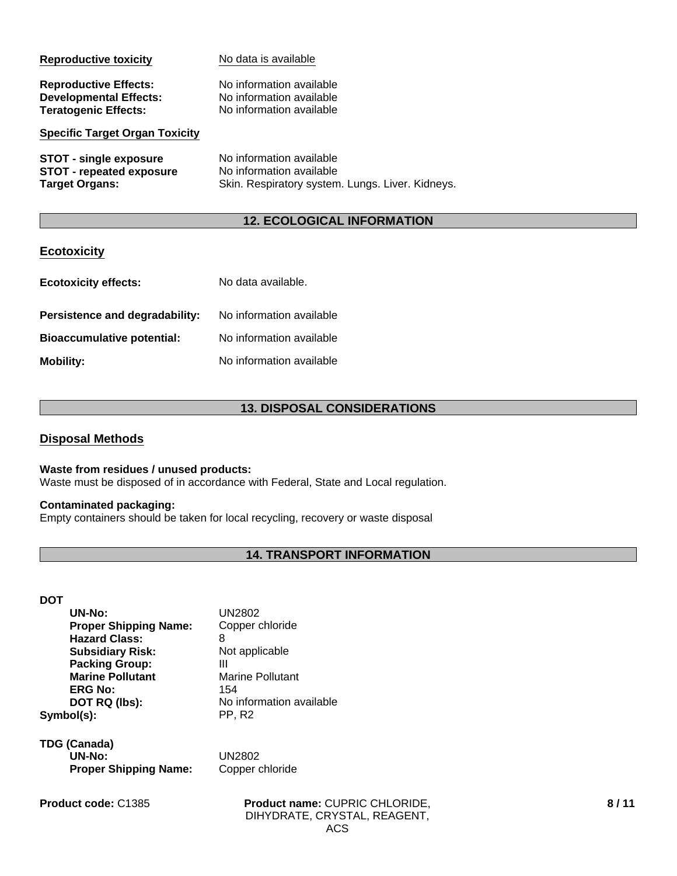| <b>Reproductive toxicity</b>          | No data is available                             |
|---------------------------------------|--------------------------------------------------|
| <b>Reproductive Effects:</b>          | No information available                         |
| <b>Developmental Effects:</b>         | No information available                         |
| <b>Teratogenic Effects:</b>           | No information available                         |
| <b>Specific Target Organ Toxicity</b> |                                                  |
| <b>STOT - single exposure</b>         | No information available                         |
| <b>STOT - repeated exposure</b>       | No information available                         |
| <b>Target Organs:</b>                 | Skin. Respiratory system. Lungs. Liver. Kidneys. |

# **12. ECOLOGICAL INFORMATION**

# **Ecotoxicity**

| <b>Ecotoxicity effects:</b>       | No data available.       |
|-----------------------------------|--------------------------|
| Persistence and degradability:    | No information available |
| <b>Bioaccumulative potential:</b> | No information available |
| <b>Mobility:</b>                  | No information available |

# **13. DISPOSAL CONSIDERATIONS**

# **Disposal Methods**

# **Waste from residues / unused products:**

Waste must be disposed of in accordance with Federal, State and Local regulation.

# **Contaminated packaging:**

Empty containers should be taken for local recycling, recovery or waste disposal

# **14. TRANSPORT INFORMATION**

# **DOT**

| <b>UN2802</b>            |
|--------------------------|
| Copper chloride          |
| 8                        |
| Not applicable           |
| Ш                        |
| <b>Marine Pollutant</b>  |
| 154                      |
| No information available |
| <b>PP.R2</b>             |
|                          |

**TDG (Canada) UN-No:** UN2802 **Proper Shipping Name:** Copper chloride

**Product name:** CUPRIC CHLORIDE, **Product code:** C1385 **8 / 11**DIHYDRATE, CRYSTAL, REAGENT, ACS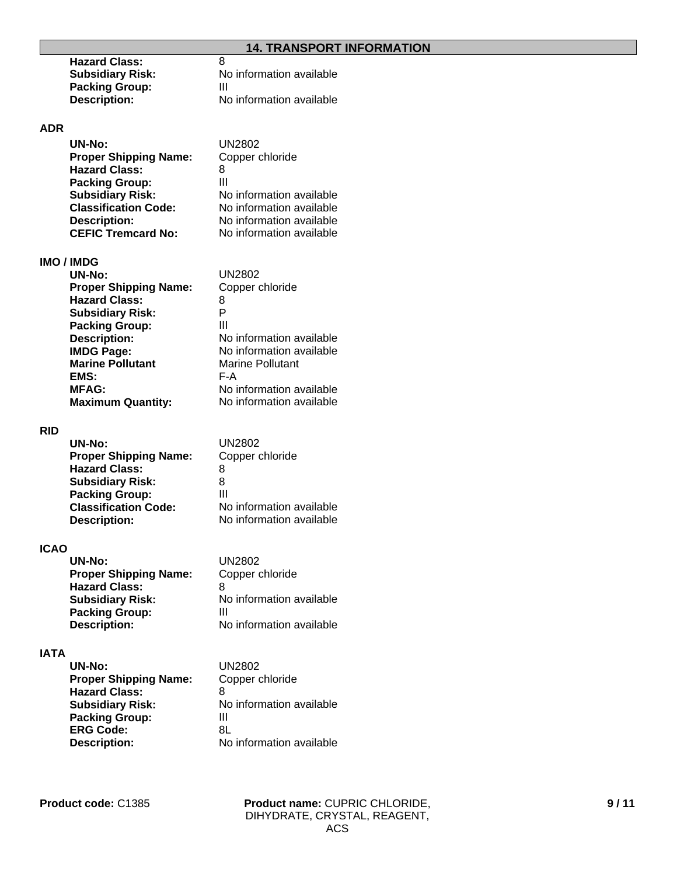| 8                        |
|--------------------------|
| No information available |
| Ш                        |
| No information available |
|                          |

# **ADR**

| <b>UN-No:</b>                | UN2802                   |
|------------------------------|--------------------------|
| <b>Proper Shipping Name:</b> | Copper chloride          |
| <b>Hazard Class:</b>         | 8                        |
| <b>Packing Group:</b>        | Ш                        |
| <b>Subsidiary Risk:</b>      | No information available |
| <b>Classification Code:</b>  | No information available |
| <b>Description:</b>          | No information available |
| <b>CEFIC Tremcard No:</b>    | No information available |

# **IMO / IMDG**

| <b>UN-No:</b>                | UN2802                   |
|------------------------------|--------------------------|
| <b>Proper Shipping Name:</b> | Copper chloride          |
| <b>Hazard Class:</b>         | 8                        |
| <b>Subsidiary Risk:</b>      | Р                        |
| <b>Packing Group:</b>        | Ш                        |
| <b>Description:</b>          | No information available |
| <b>IMDG Page:</b>            | No information available |
| <b>Marine Pollutant</b>      | <b>Marine Pollutant</b>  |
| EMS:                         | F-A                      |
| <b>MFAG:</b>                 | No information available |
| <b>Maximum Quantity:</b>     | No information available |
|                              |                          |

# **RID**

| UN2802                   |
|--------------------------|
| Copper chloride          |
| 8                        |
| 8                        |
| Ш                        |
| No information available |
| No information available |
|                          |

# **ICAO**

| <b>UN-No:</b>                | <b>UN2802</b>            |  |
|------------------------------|--------------------------|--|
| <b>Proper Shipping Name:</b> | Copper chloride          |  |
| <b>Hazard Class:</b>         | 8                        |  |
| <b>Subsidiary Risk:</b>      | No information available |  |
| <b>Packing Group:</b>        | Ш                        |  |
| <b>Description:</b>          | No information available |  |

# **IATA**

| UN-No:                       | UN2802                   |  |
|------------------------------|--------------------------|--|
| <b>Proper Shipping Name:</b> | Copper chloride          |  |
| <b>Hazard Class:</b>         | 8                        |  |
| <b>Subsidiary Risk:</b>      | No information available |  |
| <b>Packing Group:</b>        | Ш                        |  |
| <b>ERG Code:</b>             | 8L                       |  |
| <b>Description:</b>          | No information available |  |
|                              |                          |  |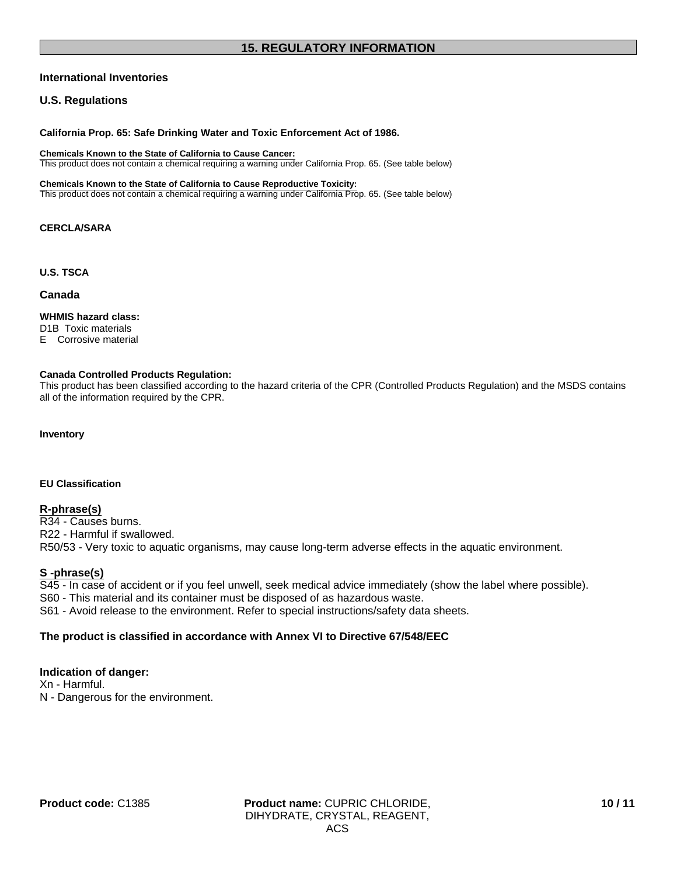# **15. REGULATORY INFORMATION**

# **International Inventories**

# **U.S. Regulations**

**California Prop. 65: Safe Drinking Water and Toxic Enforcement Act of 1986.**

**Chemicals Known to the State of California to Cause Cancer:**

This product does not contain a chemical requiring a warning under California Prop. 65. (See table below)

#### **Chemicals Known to the State of California to Cause Reproductive Toxicity:**

This product does not contain a chemical requiring a warning under California Prop. 65. (See table below)

### **CERCLA/SARA**

**U.S. TSCA**

#### **Canada**

# **WHMIS hazard class:**

D1B Toxic materials

E Corrosive material

#### **Canada Controlled Products Regulation:**

This product has been classified according to the hazard criteria of the CPR (Controlled Products Regulation) and the MSDS contains all of the information required by the CPR.

#### **Inventory**

#### **EU Classification**

#### **R-phrase(s)**

R34 - Causes burns. R22 - Harmful if swallowed. R50/53 - Very toxic to aquatic organisms, may cause long-term adverse effects in the aquatic environment.

#### **S -phrase(s)**

S45 - In case of accident or if you feel unwell, seek medical advice immediately (show the label where possible).

- S60 This material and its container must be disposed of as hazardous waste.
- S61 Avoid release to the environment. Refer to special instructions/safety data sheets.

# **The product is classified in accordance with Annex VI to Directive 67/548/EEC**

# **Indication of danger:**

Xn - Harmful. N - Dangerous for the environment.